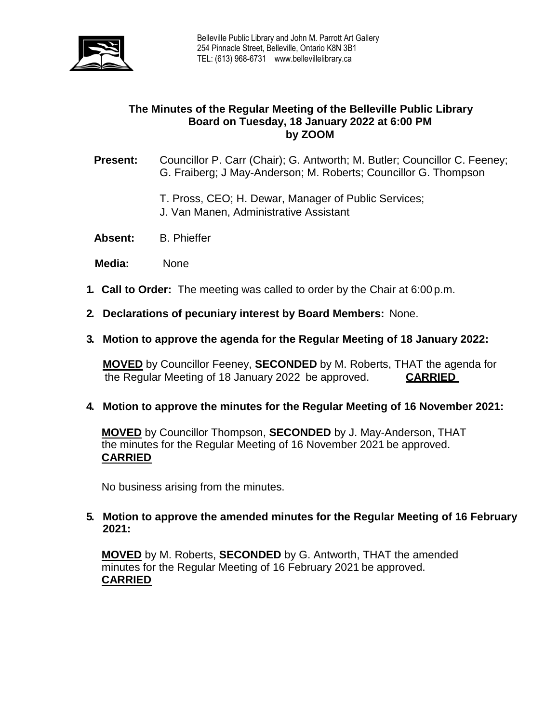

# **The Minutes of the Regular Meeting of the Belleville Public Library Board on Tuesday, 18 January 2022 at 6:00 PM by ZOOM**

## **Present:** Councillor P. Carr (Chair); G. Antworth; M. Butler; Councillor C. Feeney; G. Fraiberg; J May-Anderson; M. Roberts; Councillor G. Thompson

- T. Pross, CEO; H. Dewar, Manager of Public Services;
- J. Van Manen, Administrative Assistant
- **Absent:** B. Phieffer
- **Media:** None
- **1. Call to Order:** The meeting was called to order by the Chair at 6:00 p.m.
- **2. Declarations of pecuniary interest by Board Members:** None.
- **3. Motion to approve the agenda for the Regular Meeting of 18 January 2022:**

**MOVED** by Councillor Feeney, **SECONDED** by M. Roberts, THAT the agenda for the Regular Meeting of 18 January 2022 be approved. **CARRIED**

## **4. Motion to approve the minutes for the Regular Meeting of 16 November 2021:**

**MOVED** by Councillor Thompson, **SECONDED** by J. May-Anderson, THAT the minutes for the Regular Meeting of 16 November 2021 be approved. **CARRIED**

No business arising from the minutes.

## **5. Motion to approve the amended minutes for the Regular Meeting of 16 February 2021:**

**MOVED** by M. Roberts, **SECONDED** by G. Antworth, THAT the amended minutes for the Regular Meeting of 16 February 2021 be approved. **CARRIED**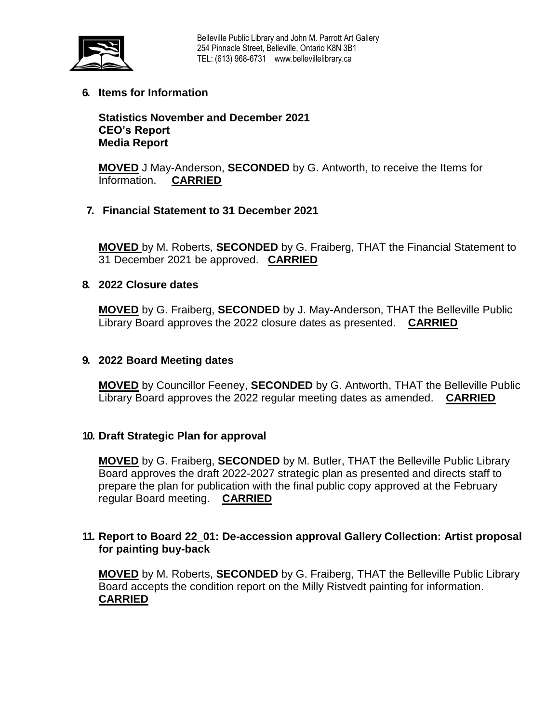

**6. Items for Information**

**Statistics November and December 2021 CEO's Report Media Report**

**MOVED** J May-Anderson, **SECONDED** by G. Antworth, to receive the Items for Information. **CARRIED** 

# **7. Financial Statement to 31 December 2021**

**MOVED** by M. Roberts, **SECONDED** by G. Fraiberg, THAT the Financial Statement to 31 December 2021 be approved. **CARRIED**

## **8. 2022 Closure dates**

**MOVED** by G. Fraiberg, **SECONDED** by J. May-Anderson, THAT the Belleville Public Library Board approves the 2022 closure dates as presented. **CARRIED**

## **9. 2022 Board Meeting dates**

**MOVED** by Councillor Feeney, **SECONDED** by G. Antworth, THAT the Belleville Public Library Board approves the 2022 regular meeting dates as amended. **CARRIED**

#### **10. Draft Strategic Plan for approval**

**MOVED** by G. Fraiberg, **SECONDED** by M. Butler, THAT the Belleville Public Library Board approves the draft 2022-2027 strategic plan as presented and directs staff to prepare the plan for publication with the final public copy approved at the February regular Board meeting. **CARRIED**

### **11. Report to Board 22\_01: De-accession approval Gallery Collection: Artist proposal for painting buy-back**

**MOVED** by M. Roberts, **SECONDED** by G. Fraiberg, THAT the Belleville Public Library Board accepts the condition report on the Milly Ristvedt painting for information. **CARRIED**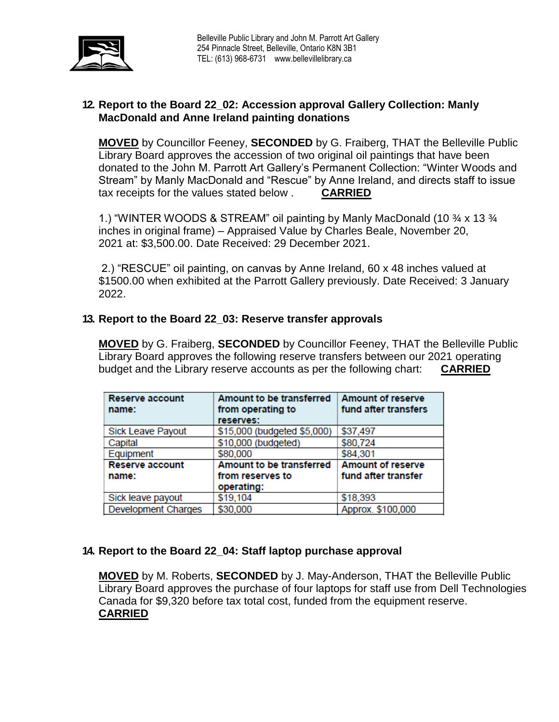

# **12. Report to the Board 22\_02: Accession approval Gallery Collection: Manly MacDonald and Anne Ireland painting donations**

**MOVED** by Councillor Feeney, **SECONDED** by G. Fraiberg, THAT the Belleville Public Library Board approves the accession of two original oil paintings that have been donated to the John M. Parrott Art Gallery's Permanent Collection: "Winter Woods and Stream" by Manly MacDonald and "Rescue" by Anne Ireland, and directs staff to issue tax receipts for the values stated below . **CARRIED**

1.) "WINTER WOODS & STREAM" oil painting by Manly MacDonald (10 ¾ x 13 ¾ inches in original frame) – Appraised Value by Charles Beale, November 20, 2021 at: \$3,500.00. Date Received: 29 December 2021.

2.) "RESCUE" oil painting, on canvas by Anne Ireland, 60 x 48 inches valued at \$1500.00 when exhibited at the Parrott Gallery previously. Date Received: 3 January 2022.

# **13. Report to the Board 22\_03: Reserve transfer approvals**

**MOVED** by G. Fraiberg, **SECONDED** by Councillor Feeney, THAT the Belleville Public Library Board approves the following reserve transfers between our 2021 operating budget and the Library reserve accounts as per the following chart: **CARRIED**

| <b>Reserve account</b>     | Amount to be transferred    | <b>Amount of reserve</b> |
|----------------------------|-----------------------------|--------------------------|
| name:                      | from operating to           | fund after transfers     |
|                            | reserves:                   |                          |
| <b>Sick Leave Payout</b>   | \$15,000 (budgeted \$5,000) | \$37,497                 |
| Capital                    | \$10,000 (budgeted)         | \$80,724                 |
| Equipment                  | \$80,000                    | \$84,301                 |
| <b>Reserve account</b>     | Amount to be transferred    | <b>Amount of reserve</b> |
| name:                      | from reserves to            | fund after transfer      |
|                            | operating:                  |                          |
| Sick leave payout          | \$19,104                    | \$18,393                 |
| <b>Development Charges</b> | \$30,000                    | Approx. \$100,000        |

## **14. Report to the Board 22\_04: Staff laptop purchase approval**

**MOVED** by M. Roberts, **SECONDED** by J. May-Anderson, THAT the Belleville Public Library Board approves the purchase of four laptops for staff use from Dell Technologies Canada for \$9,320 before tax total cost, funded from the equipment reserve. **CARRIED**